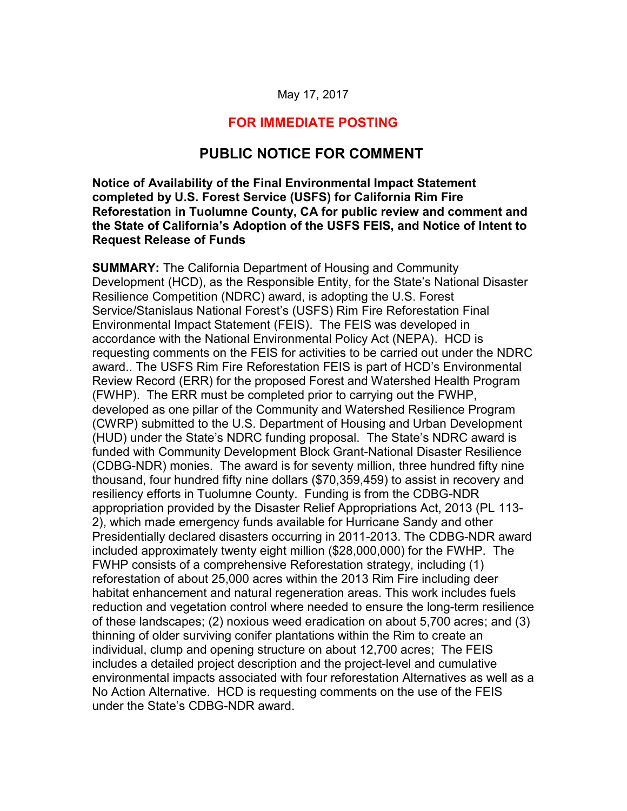#### May 17, 2017

## **FOR IMMEDIATE POSTING**

# **PUBLIC NOTICE FOR COMMENT**

#### **Notice of Availability of the Final Environmental Impact Statement completed by U.S. Forest Service (USFS) for California Rim Fire Reforestation in Tuolumne County, CA for public review and comment and the State of California's Adoption of the USFS FEIS, and Notice of Intent to Request Release of Funds**

 (CDBG-NDR) monies. The award is for seventy million, three hundred fifty nine thousand, four hundred fifty nine dollars (\$70,359,459) to assist in recovery and appropriation provided by the Disaster Relief Appropriations Act, 2013 (PL 113- reforestation of about 25,000 acres within the 2013 Rim Fire including deer of these landscapes; (2) noxious weed eradication on about 5,700 acres; and (3) **SUMMARY:** The California Department of Housing and Community Development (HCD), as the Responsible Entity, for the State's National Disaster Resilience Competition (NDRC) award, is adopting the U.S. Forest Service/Stanislaus National Forest's (USFS) Rim Fire Reforestation Final Environmental Impact Statement (FEIS). The FEIS was developed in accordance with the National Environmental Policy Act (NEPA). HCD is requesting comments on the FEIS for activities to be carried out under the NDRC award.. The USFS Rim Fire Reforestation FEIS is part of HCD's Environmental Review Record (ERR) for the proposed Forest and Watershed Health Program (FWHP). The ERR must be completed prior to carrying out the FWHP, developed as one pillar of the Community and Watershed Resilience Program (CWRP) submitted to the U.S. Department of Housing and Urban Development (HUD) under the State's NDRC funding proposal. The State's NDRC award is funded with Community Development Block Grant-National Disaster Resilience resiliency efforts in Tuolumne County. Funding is from the CDBG-NDR 2), which made emergency funds available for Hurricane Sandy and other Presidentially declared disasters occurring in 2011-2013. The CDBG-NDR award included approximately twenty eight million (\$28,000,000) for the FWHP. The FWHP consists of a comprehensive Reforestation strategy, including (1) habitat enhancement and natural regeneration areas. This work includes fuels reduction and vegetation control where needed to ensure the long-term resilience thinning of older surviving conifer plantations within the Rim to create an individual, clump and opening structure on about 12,700 acres; The FEIS includes a detailed project description and the project-level and cumulative environmental impacts associated with four reforestation Alternatives as well as a No Action Alternative. HCD is requesting comments on the use of the FEIS under the State's CDBG-NDR award.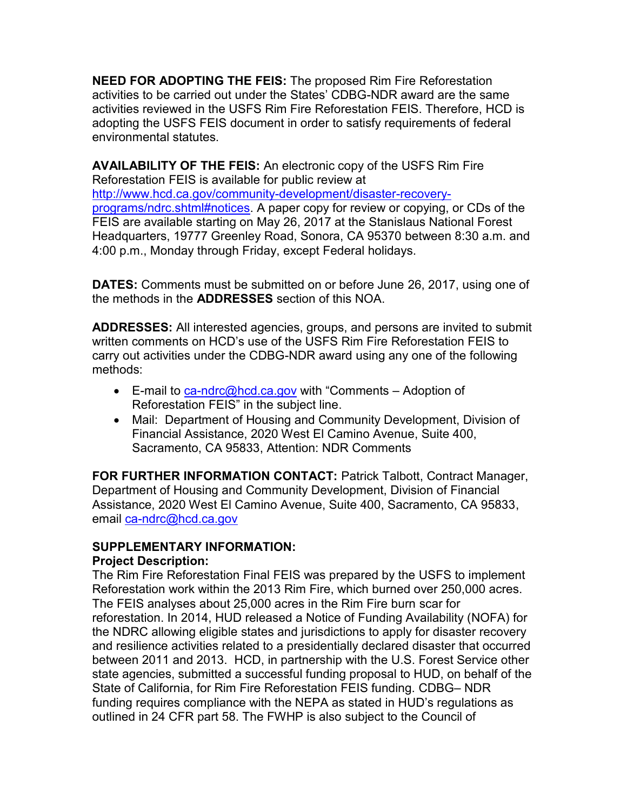**NEED FOR ADOPTING THE FEIS:** The proposed Rim Fire Reforestation activities to be carried out under the States' CDBG-NDR award are the same activities reviewed in the USFS Rim Fire Reforestation FEIS. Therefore, HCD is adopting the USFS FEIS document in order to satisfy requirements of federal environmental statutes.

**AVAILABILITY OF THE FEIS:** An electronic copy of the USFS Rim Fire Reforestation FEIS is available for public review at [http://www.hcd.ca.gov/community-development/disaster-recovery](http://www.hcd.ca.gov/community-development/disaster-recovery-programs/ndrc.shtml#notices)programs/ndrc.shtml#notices. A paper copy for review or copying, or CDs of the FEIS are available starting on May 26, 2017 at the Stanislaus National Forest Headquarters, 19777 Greenley Road, Sonora, CA 95370 between 8:30 a.m. and 4:00 p.m., Monday through Friday, except Federal holidays.

 **DATES:** Comments must be submitted on or before June 26, 2017, using one of the methods in the **ADDRESSES** section of this NOA.

 carry out activities under the CDBG-NDR award using any one of the following **ADDRESSES:** All interested agencies, groups, and persons are invited to submit written comments on HCD's use of the USFS Rim Fire Reforestation FEIS to methods:

- E-mail to [ca-ndrc@hcd.ca.gov](mailto:ca-ndrc@hcd.ca.gov) with "Comments Adoption of Reforestation FEIS" in the subject line.
- Mail: Department of Housing and Community Development, Division of Financial Assistance, 2020 West El Camino Avenue, Suite 400, Sacramento, CA 95833, Attention: NDR Comments

**FOR FURTHER INFORMATION CONTACT:** Patrick Talbott, Contract Manager, Department of Housing and Community Development, Division of Financial Assistance, 2020 West El Camino Avenue, Suite 400, Sacramento, CA 95833, email ca-ndrc@hcd.ca.gov

#### **SUPPLEMENTARY INFORMATION: Project Description:**

Reforestation work within the 2013 Rim Fire, which burned over 250,000 acres.<br>The FEIS analyses about 25,000 acres in the Rim Fire burn scar for between 2011 and 2013. HCD, in partnership with the U.S. Forest Service other outlined in 24 CFR part 58. The FWHP is also subject to the Council of The Rim Fire Reforestation Final FEIS was prepared by the USFS to implement reforestation. In 2014, HUD released a Notice of Funding Availability (NOFA) for the NDRC allowing eligible states and jurisdictions to apply for disaster recovery and resilience activities related to a presidentially declared disaster that occurred state agencies, submitted a successful funding proposal to HUD, on behalf of the State of California, for Rim Fire Reforestation FEIS funding. CDBG– NDR funding requires compliance with the NEPA as stated in HUD's regulations as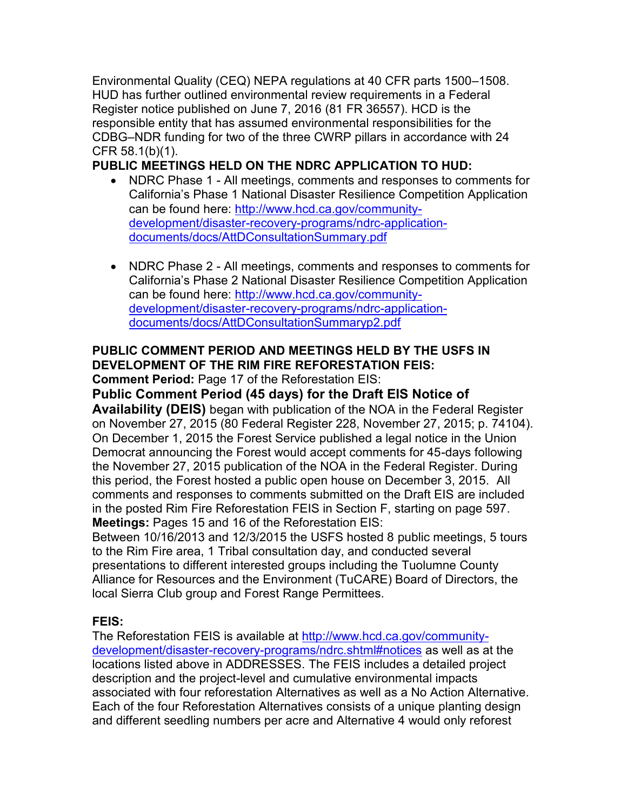Environmental Quality (CEQ) NEPA regulations at 40 CFR parts 1500–1508. HUD has further outlined environmental review requirements in a Federal Register notice published on June 7, 2016 (81 FR 36557). HCD is the responsible entity that has assumed environmental responsibilities for the CDBG–NDR funding for two of the three CWRP pillars in accordance with 24 CFR 58.1(b)(1).

**PUBLIC MEETINGS HELD ON THE NDRC APPLICATION TO HUD:** 

- NDRC Phase 1 All meetings, comments and responses to comments for California's Phase 1 National Disaster Resilience Competition Application can be found here: [http://www.hcd.ca.gov/community](http://www.hcd.ca.gov/community-development/disaster-recovery-programs/ndrc-application-documents/docs/AttDConsultationSummary.pdf)development/disaster-recovery-programs/ndrc-applicationdocuments/docs/AttDConsultationSummary.pdf
- NDRC Phase 2 All meetings, comments and responses to comments for California's Phase 2 National Disaster Resilience Competition Application can be found here: [http://www.hcd.ca.gov/community](http://www.hcd.ca.gov/community-development/disaster-recovery-programs/ndrc-application-documents/docs/AttDConsultationSummaryp2.pdf)development/disaster-recovery-programs/ndrc-applicationdocuments/docs/AttDConsultationSummaryp2.pdf

# **PUBLIC COMMENT PERIOD AND MEETINGS HELD BY THE USFS IN DEVELOPMENT OF THE RIM FIRE REFORESTATION FEIS:**

**Comment Period:** Page 17 of the Reforestation EIS:

# **Public Comment Period (45 days) for the Draft EIS Notice of**

 **Availability (DEIS)** began with publication of the NOA in the Federal Register On December 1, 2015 the Forest Service published a legal notice in the Union this period, the Forest hosted a public open house on December 3, 2015. All on November 27, 2015 (80 Federal Register 228, November 27, 2015; p. 74104). Democrat announcing the Forest would accept comments for 45-days following the November 27, 2015 publication of the NOA in the Federal Register. During comments and responses to comments submitted on the Draft EIS are included in the posted Rim Fire Reforestation FEIS in Section F, starting on page 597. **Meetings:** Pages 15 and 16 of the Reforestation EIS:

 presentations to different interested groups including the Tuolumne County Between 10/16/2013 and 12/3/2015 the USFS hosted 8 public meetings, 5 tours to the Rim Fire area, 1 Tribal consultation day, and conducted several Alliance for Resources and the Environment (TuCARE) Board of Directors, the local Sierra Club group and Forest Range Permittees.

# **FEIS:**

 Each of the four Reforestation Alternatives consists of a unique planting design The Reforestation FEIS is available at [http://www.hcd.ca.gov/community](http://www.hcd.ca.gov/community-development/disaster-recovery-programs/ndrc.shtml#notices)development/disaster-recovery-programs/ndrc.shtml#notices as well as at the locations listed above in ADDRESSES. The FEIS includes a detailed project description and the project-level and cumulative environmental impacts associated with four reforestation Alternatives as well as a No Action Alternative. and different seedling numbers per acre and Alternative 4 would only reforest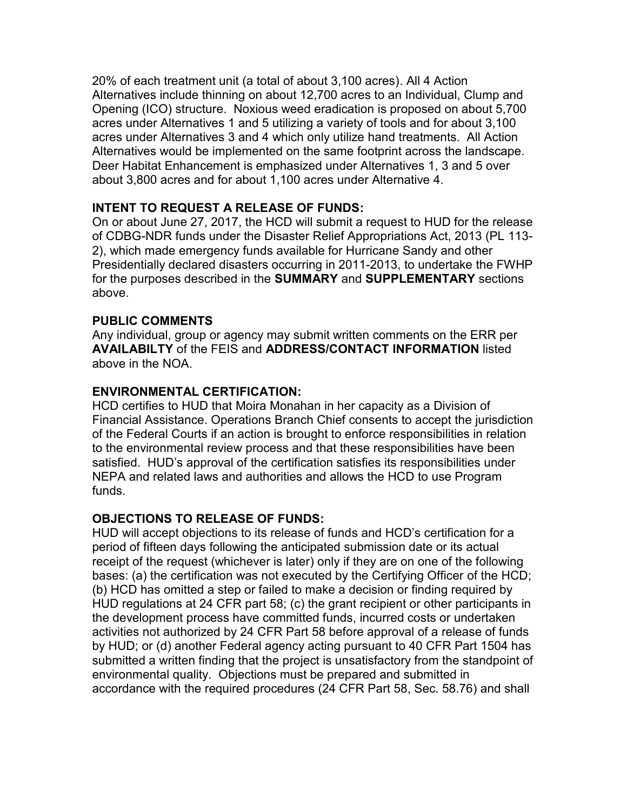20% of each treatment unit (a total of about 3,100 acres). All 4 Action Alternatives include thinning on about 12,700 acres to an Individual, Clump and acres under Alternatives 1 and 5 utilizing a variety of tools and for about 3,100 Alternatives would be implemented on the same footprint across the landscape. Alternatives would be implemented on the same footprint across the landscape.<br>Deer Habitat Enhancement is emphasized under Alternatives 1, 3 and 5 over Opening (ICO) structure. Noxious weed eradication is proposed on about 5,700 acres under Alternatives 3 and 4 which only utilize hand treatments. All Action about 3,800 acres and for about 1,100 acres under Alternative 4.

# **INTENT TO REQUEST A RELEASE OF FUNDS:**

 On or about June 27, 2017, the HCD will submit a request to HUD for the release of CDBG-NDR funds under the Disaster Relief Appropriations Act, 2013 (PL 113- 2), which made emergency funds available for Hurricane Sandy and other Presidentially declared disasters occurring in 2011-2013, to undertake the FWHP for the purposes described in the **SUMMARY** and **SUPPLEMENTARY** sections above.

### **PUBLIC COMMENTS**

 **AVAILABILTY** of the FEIS and **ADDRESS/CONTACT INFORMATION** listed Any individual, group or agency may submit written comments on the ERR per above in the NOA.

### **ENVIRONMENTAL CERTIFICATION:**

 satisfied. HUD's approval of the certification satisfies its responsibilities under NEPA and related laws and authorities and allows the HCD to use Program HCD certifies to HUD that Moira Monahan in her capacity as a Division of Financial Assistance. Operations Branch Chief consents to accept the jurisdiction of the Federal Courts if an action is brought to enforce responsibilities in relation to the environmental review process and that these responsibilities have been funds.

### **OBJECTIONS TO RELEASE OF FUNDS:**

 HUD will accept objections to its release of funds and HCD's certification for a period of fifteen days following the anticipated submission date or its actual receipt of the request (whichever is later) only if they are on one of the following (b) HCD has omitted a step or failed to make a decision or finding required by activities not authorized by 24 CFR Part 58 before approval of a release of funds bases: (a) the certification was not executed by the Certifying Officer of the HCD; HUD regulations at 24 CFR part 58; (c) the grant recipient or other participants in the development process have committed funds, incurred costs or undertaken by HUD; or (d) another Federal agency acting pursuant to 40 CFR Part 1504 has submitted a written finding that the project is unsatisfactory from the standpoint of environmental quality. Objections must be prepared and submitted in accordance with the required procedures (24 CFR Part 58, Sec. 58.76) and shall